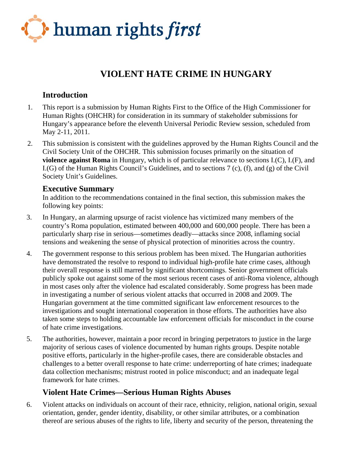

# **VIOLENT HATE CRIME IN HUNGARY**

# **Introduction**

- 1. This report is a submission by Human Rights First to the Office of the High Commissioner for Human Rights (OHCHR) for consideration in its summary of stakeholder submissions for Hungary's appearance before the eleventh Universal Periodic Review session, scheduled from May 2-11, 2011.
- 2. This submission is consistent with the guidelines approved by the Human Rights Council and the Civil Society Unit of the OHCHR. This submission focuses primarily on the situation of **violence against Roma** in Hungary, which is of particular relevance to sections I.(C), I.(F), and I.(G) of the Human Rights Council's Guidelines, and to sections 7 (c), (f), and (g) of the Civil Society Unit's Guidelines.

### **Executive Summary**

In addition to the recommendations contained in the final section, this submission makes the following key points:

- 3. In Hungary, an alarming upsurge of racist violence has victimized many members of the country's Roma population, estimated between 400,000 and 600,000 people. There has been a particularly sharp rise in serious—sometimes deadly—attacks since 2008, inflaming social tensions and weakening the sense of physical protection of minorities across the country.
- 4. The government response to this serious problem has been mixed. The Hungarian authorities have demonstrated the resolve to respond to individual high-profile hate crime cases, although their overall response is still marred by significant shortcomings. Senior government officials publicly spoke out against some of the most serious recent cases of anti-Roma violence, although in most cases only after the violence had escalated considerably. Some progress has been made in investigating a number of serious violent attacks that occurred in 2008 and 2009. The Hungarian government at the time committed significant law enforcement resources to the investigations and sought international cooperation in those efforts. The authorities have also taken some steps to holding accountable law enforcement officials for misconduct in the course of hate crime investigations.
- 5. The authorities, however, maintain a poor record in bringing perpetrators to justice in the large majority of serious cases of violence documented by human rights groups. Despite notable positive efforts, particularly in the higher-profile cases, there are considerable obstacles and challenges to a better overall response to hate crime: underreporting of hate crimes; inadequate data collection mechanisms; mistrust rooted in police misconduct; and an inadequate legal framework for hate crimes.

# **Violent Hate Crimes—Serious Human Rights Abuses**

6. Violent attacks on individuals on account of their race, ethnicity, religion, national origin, sexual orientation, gender, gender identity, disability, or other similar attributes, or a combination thereof are serious abuses of the rights to life, liberty and security of the person, threatening the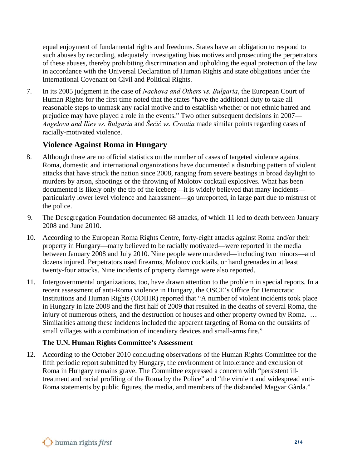equal enjoyment of fundamental rights and freedoms. States have an obligation to respond to such abuses by recording, adequately investigating bias motives and prosecuting the perpetrators of these abuses, thereby prohibiting discrimination and upholding the equal protection of the law in accordance with the Universal Declaration of Human Rights and state obligations under the International Covenant on Civil and Political Rights.

7. In its 2005 judgment in the case of *Nachova and Others vs. Bulgaria*, the European Court of Human Rights for the first time noted that the states "have the additional duty to take all reasonable steps to unmask any racial motive and to establish whether or not ethnic hatred and prejudice may have played a role in the events." Two other subsequent decisions in 2007— *Angelova and Iliev vs. Bulgaria* and *Šečić vs. Croatia* made similar points regarding cases of racially-motivated violence.

# **Violence Against Roma in Hungary**

- 8. Although there are no official statistics on the number of cases of targeted violence against Roma, domestic and international organizations have documented a disturbing pattern of violent attacks that have struck the nation since 2008, ranging from severe beatings in broad daylight to murders by arson, shootings or the throwing of Molotov cocktail explosives. What has been documented is likely only the tip of the iceberg—it is widely believed that many incidents particularly lower level violence and harassment—go unreported, in large part due to mistrust of the police.
- 9. The Desegregation Foundation documented 68 attacks, of which 11 led to death between January 2008 and June 2010.
- 10. According to the European Roma Rights Centre, forty-eight attacks against Roma and/or their property in Hungary—many believed to be racially motivated—were reported in the media between January 2008 and July 2010. Nine people were murdered—including two minors—and dozens injured. Perpetrators used firearms, Molotov cocktails, or hand grenades in at least twenty-four attacks. Nine incidents of property damage were also reported.
- 11. Intergovernmental organizations, too, have drawn attention to the problem in special reports. In a recent assessment of anti-Roma violence in Hungary, the OSCE's Office for Democratic Institutions and Human Rights (ODIHR) reported that "A number of violent incidents took place in Hungary in late 2008 and the first half of 2009 that resulted in the deaths of several Roma, the injury of numerous others, and the destruction of houses and other property owned by Roma. ... Similarities among these incidents included the apparent targeting of Roma on the outskirts of small villages with a combination of incendiary devices and small-arms fire."

### **The U.N. Human Rights Committee's Assessment**

12. According to the October 2010 concluding observations of the Human Rights Committee for the fifth periodic report submitted by Hungary, the environment of intolerance and exclusion of Roma in Hungary remains grave. The Committee expressed a concern with "persistent illtreatment and racial profiling of the Roma by the Police" and "the virulent and widespread anti-Roma statements by public figures, the media, and members of the disbanded Magyar Gàrda."

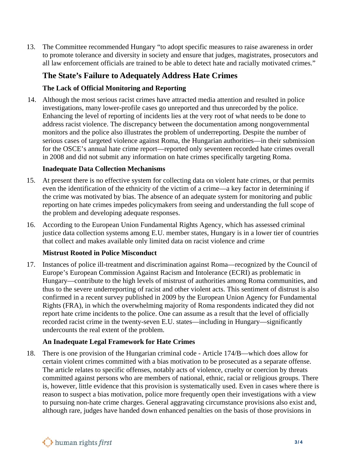13. The Committee recommended Hungary "to adopt specific measures to raise awareness in order to promote tolerance and diversity in society and ensure that judges, magistrates, prosecutors and all law enforcement officials are trained to be able to detect hate and racially motivated crimes."

# **The State's Failure to Adequately Address Hate Crimes**

### **The Lack of Official Monitoring and Reporting**

14. Although the most serious racist crimes have attracted media attention and resulted in police investigations, many lower-profile cases go unreported and thus unrecorded by the police. Enhancing the level of reporting of incidents lies at the very root of what needs to be done to address racist violence. The discrepancy between the documentation among nongovernmental monitors and the police also illustrates the problem of underreporting. Despite the number of serious cases of targeted violence against Roma, the Hungarian authorities—in their submission for the OSCE's annual hate crime report—reported only seventeen recorded hate crimes overall in 2008 and did not submit any information on hate crimes specifically targeting Roma.

### **Inadequate Data Collection Mechanisms**

- 15. At present there is no effective system for collecting data on violent hate crimes, or that permits even the identification of the ethnicity of the victim of a crime—a key factor in determining if the crime was motivated by bias. The absence of an adequate system for monitoring and public reporting on hate crimes impedes policymakers from seeing and understanding the full scope of the problem and developing adequate responses.
- 16. According to the European Union Fundamental Rights Agency, which has assessed criminal justice data collection systems among E.U. member states, Hungary is in a lower tier of countries that collect and makes available only limited data on racist violence and crime

### **Mistrust Rooted in Police Misconduct**

17. Instances of police ill-treatment and discrimination against Roma—recognized by the Council of Europe's European Commission Against Racism and Intolerance (ECRI) as problematic in Hungary—contribute to the high levels of mistrust of authorities among Roma communities, and thus to the severe underreporting of racist and other violent acts. This sentiment of distrust is also confirmed in a recent survey published in 2009 by the European Union Agency for Fundamental Rights (FRA), in which the overwhelming majority of Roma respondents indicated they did not report hate crime incidents to the police. One can assume as a result that the level of officially recorded racist crime in the twenty-seven E.U. states—including in Hungary—significantly undercounts the real extent of the problem.

### **An Inadequate Legal Framework for Hate Crimes**

18. There is one provision of the Hungarian criminal code - Article 174/B—which does allow for certain violent crimes committed with a bias motivation to be prosecuted as a separate offense. The article relates to specific offenses, notably acts of violence, cruelty or coercion by threats committed against persons who are members of national, ethnic, racial or religious groups. There is, however, little evidence that this provision is systematically used. Even in cases where there is reason to suspect a bias motivation, police more frequently open their investigations with a view to pursuing non-hate crime charges. General aggravating circumstance provisions also exist and, although rare, judges have handed down enhanced penalties on the basis of those provisions in